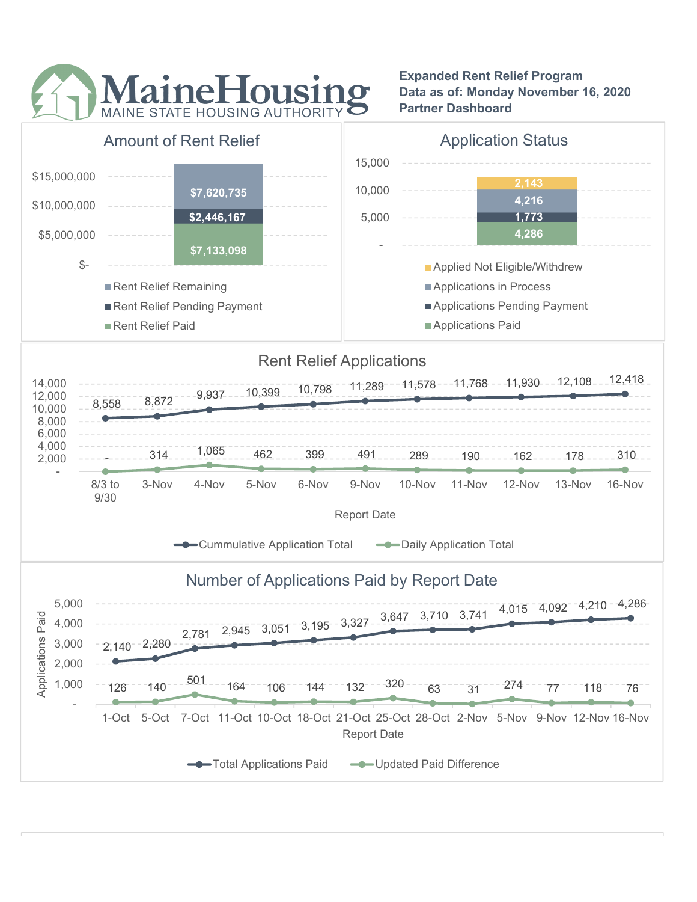

Expanded Rent Relief Program Data as of: Monday November 16, 2020 Partner Dashboard